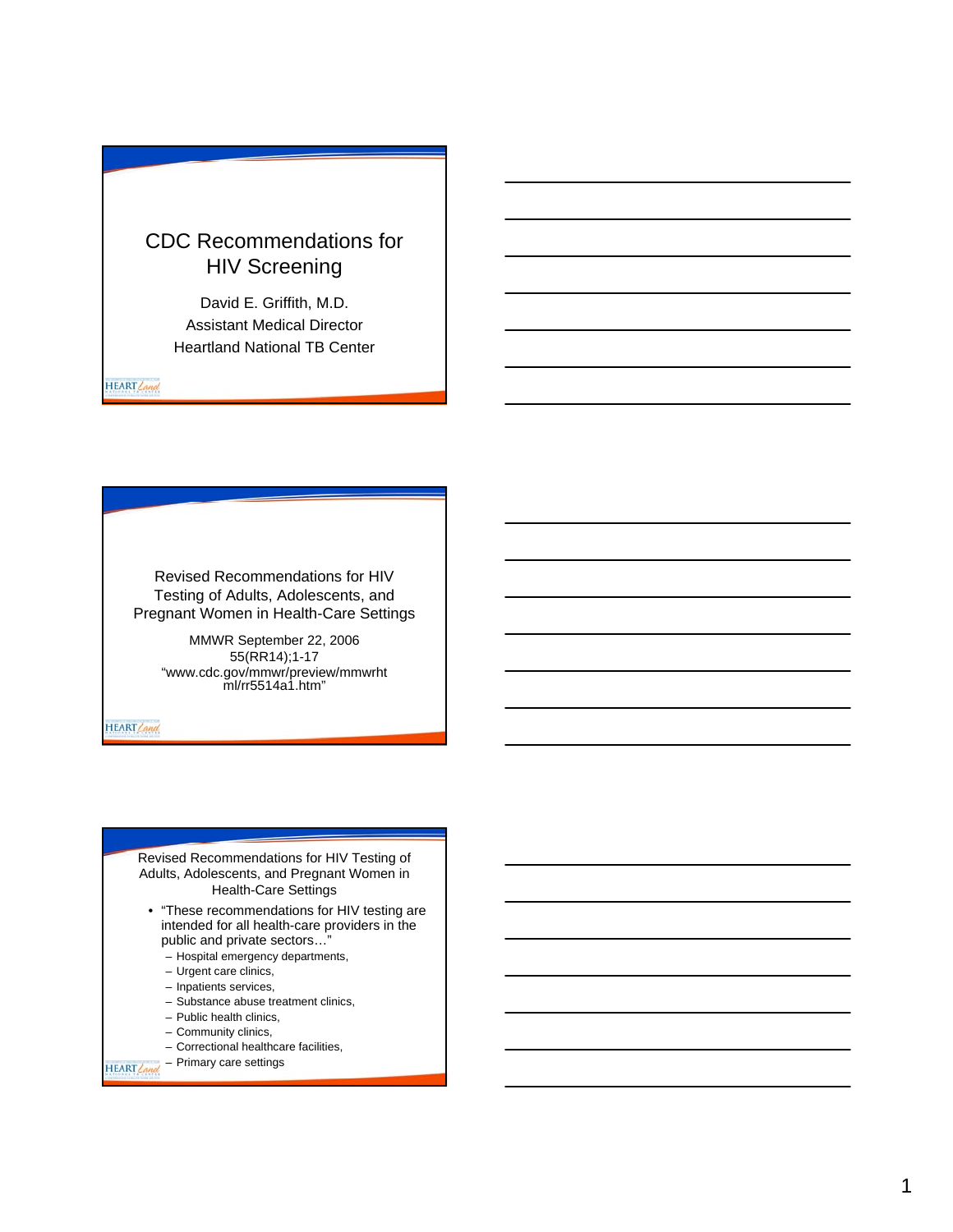## CDC Recommendations for HIV Screening

David E. Griffith, M.D. Assistant Medical Director Heartland National TB Center

HEART Land

Revised Recommendations for HIV Testing of Adults, Adolescents, and Pregnant Women in Health-Care Settings

> MMWR September 22, 2006 55(RR14);1-17 "www.cdc.gov/mmwr/preview/mmwrht ml/rr5514a1.htm"

HEART Land

Revised Recommendations for HIV Testing of Adults, Adolescents, and Pregnant Women in Health-Care Settings

- "These recommendations for HIV testing are intended for all health-care providers in the public and private sectors…"
	- Hospital emergency departments,
	- Urgent care clinics,
	- Inpatients services,
	- Substance abuse treatment clinics,
	- Public health clinics,
	- Community clinics,
	- Correctional healthcare facilities,
- HEART Cand Primary care settings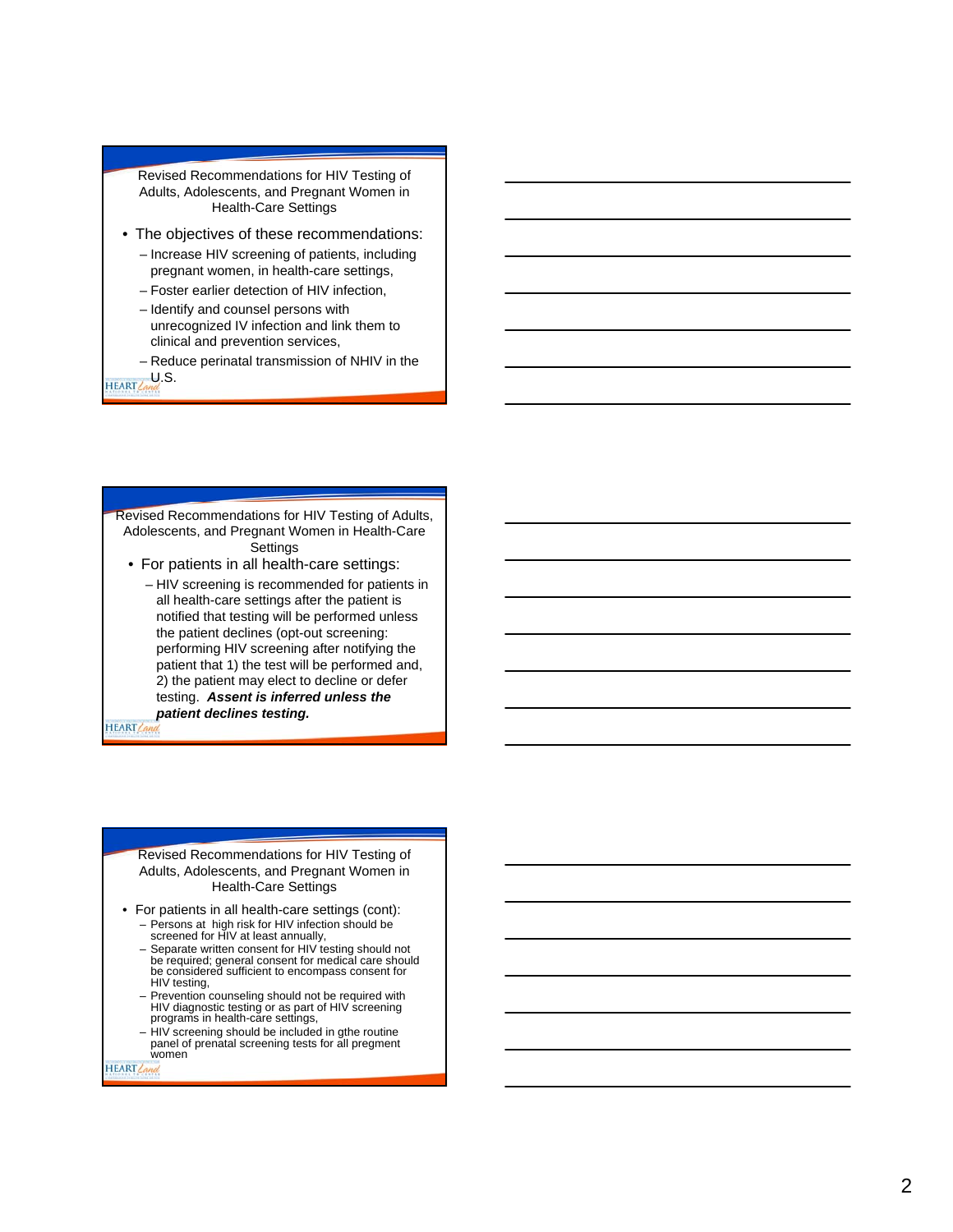Revised Recommendations for HIV Testing of Adults, Adolescents, and Pregnant Women in Health-Care Settings

- The objectives of these recommendations: – Increase HIV screening of patients, including pregnant women, in health-care settings,
	- Foster earlier detection of HIV infection,
	- Identify and counsel persons with unrecognized IV infection and link them to clinical and prevention services,
	- Reduce perinatal transmission of NHIV in the

HEART Cand S

Revised Recommendations for HIV Testing of Adults, Adolescents, and Pregnant Women in Health-Care **Settings** 

- For patients in all health-care settings:
	- HIV screening is recommended for patients in all health-care settings after the patient is notified that testing will be performed unless the patient declines (opt-out screening: performing HIV screening after notifying the patient that 1) the test will be performed and, 2) the patient may elect to decline or defer testing. *Assent is inferred unless the patient declines testing.*

HEART Can

#### Revised Recommendations for HIV Testing of Adults, Adolescents, and Pregnant Women in Health-Care Settings

- For patients in all health-care settings (cont): – Persons at high risk for HIV infection should be screened for HIV at least annually,
	-
	- Separate written consent for HIV testing should not be required; general consent for medical care should be considered sufficient to encompass consent for HIV testing,
	- Prevention counseling should not be required with HIV diagnostic testing or as part of HIV screening programs in health-care settings,
	- HIV screening should be included in gthe routine panel of prenatal screening tests for all pregment women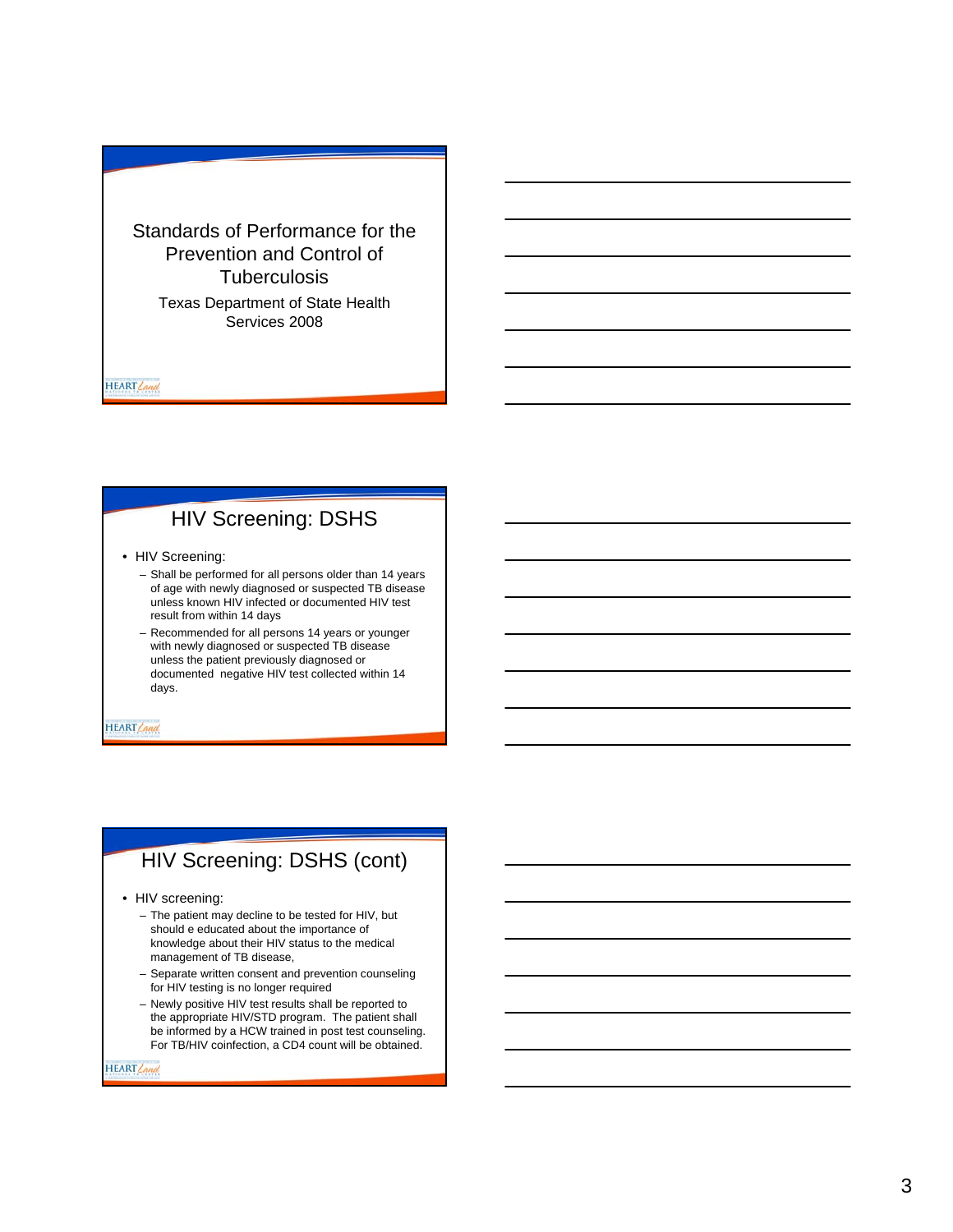Standards of Performance for the Prevention and Control of **Tuberculosis** 

> Texas Department of State Health Services 2008

HEART Land

### HIV Screening: DSHS

- HIV Screening:
	- Shall be performed for all persons older than 14 years of age with newly diagnosed or suspected TB disease unless known HIV infected or documented HIV test result from within 14 days
	- Recommended for all persons 14 years or younger with newly diagnosed or suspected TB disease unless the patient previously diagnosed or documented negative HIV test collected within 14 days.

HEART Land

#### HIV Screening: DSHS (cont)

• HIV screening:

- The patient may decline to be tested for HIV, but should e educated about the importance of knowledge about their HIV status to the medical management of TB disease,
- Separate written consent and prevention counseling for HIV testing is no longer required
- Newly positive HIV test results shall be reported to the appropriate HIV/STD program. The patient shall be informed by a HCW trained in post test counseling. For TB/HIV coinfection, a CD4 count will be obtained.

HEART Land